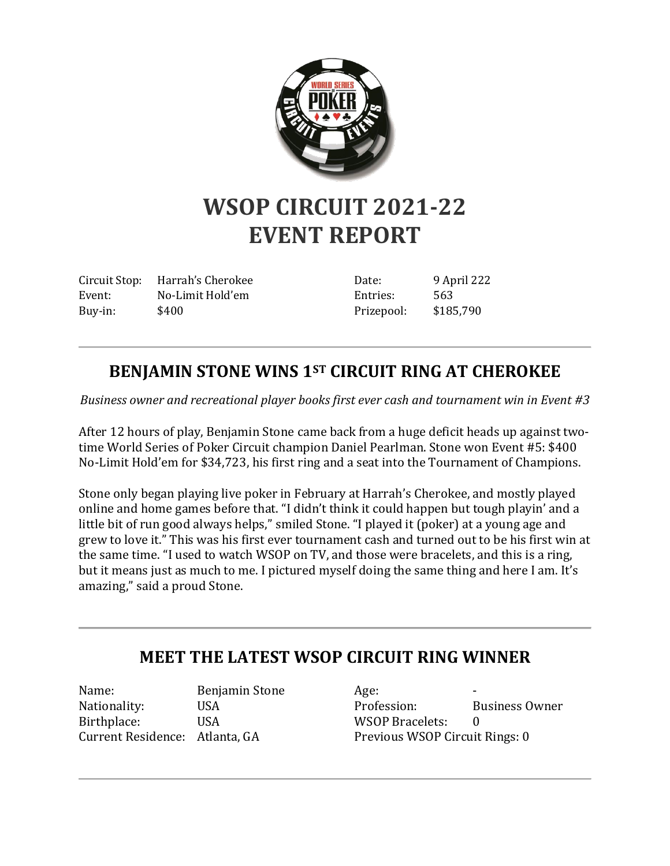

## **WSOP CIRCUIT 2021-22 EVENT REPORT**

Circuit Stop: Harrah's Cherokee Event: No-Limit Hold'em Buy-in: \$400

Date: 9 April 222 Entries: 563 Prizepool: \$185,790

## **BENJAMIN STONE WINS 1ST CIRCUIT RING AT CHEROKEE**

*Business owner and recreational player books first ever cash and tournament win in Event #3*

After 12 hours of play, Benjamin Stone came back from a huge deficit heads up against twotime World Series of Poker Circuit champion Daniel Pearlman. Stone won Event #5: \$400 No-Limit Hold'em for \$34,723, his first ring and a seat into the Tournament of Champions.

Stone only began playing live poker in February at Harrah's Cherokee, and mostly played online and home games before that. "I didn't think it could happen but tough playin' and a little bit of run good always helps," smiled Stone. "I played it (poker) at a young age and grew to love it." This was his first ever tournament cash and turned out to be his first win at the same time. "I used to watch WSOP on TV, and those were bracelets, and this is a ring, but it means just as much to me. I pictured myself doing the same thing and here I am. It's amazing," said a proud Stone.

## **MEET THE LATEST WSOP CIRCUIT RING WINNER**

Name: Benjamin Stone Nationality: USA Birthplace: USA Current Residence: Atlanta, GA

Age: Profession: Business Owner WSOP Bracelets: 0 Previous WSOP Circuit Rings: 0